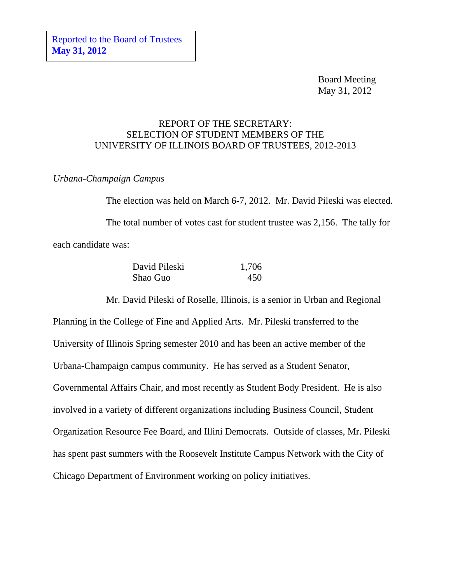Board Meeting May 31, 2012

## REPORT OF THE SECRETARY: SELECTION OF STUDENT MEMBERS OF THE UNIVERSITY OF ILLINOIS BOARD OF TRUSTEES, 2012-2013

## *Urbana-Champaign Campus*

The election was held on March 6-7, 2012. Mr. David Pileski was elected. The total number of votes cast for student trustee was 2,156. The tally for each candidate was:

| David Pileski | 1,706 |
|---------------|-------|
| Shao Guo      | 450   |

Mr. David Pileski of Roselle, Illinois, is a senior in Urban and Regional Planning in the College of Fine and Applied Arts. Mr. Pileski transferred to the University of Illinois Spring semester 2010 and has been an active member of the Urbana-Champaign campus community. He has served as a Student Senator, Governmental Affairs Chair, and most recently as Student Body President. He is also involved in a variety of different organizations including Business Council, Student Organization Resource Fee Board, and Illini Democrats. Outside of classes, Mr. Pileski has spent past summers with the Roosevelt Institute Campus Network with the City of Chicago Department of Environment working on policy initiatives.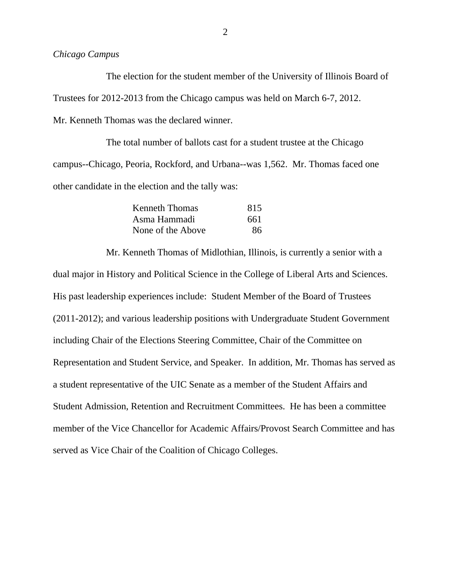## *Chicago Campus*

The election for the student member of the University of Illinois Board of Trustees for 2012-2013 from the Chicago campus was held on March 6-7, 2012. Mr. Kenneth Thomas was the declared winner.

The total number of ballots cast for a student trustee at the Chicago campus--Chicago, Peoria, Rockford, and Urbana--was 1,562. Mr. Thomas faced one other candidate in the election and the tally was:

| Kenneth Thomas    | 815 |
|-------------------|-----|
| Asma Hammadi      | 661 |
| None of the Above | 86. |

Mr. Kenneth Thomas of Midlothian, Illinois, is currently a senior with a dual major in History and Political Science in the College of Liberal Arts and Sciences. His past leadership experiences include: Student Member of the Board of Trustees (2011-2012); and various leadership positions with Undergraduate Student Government including Chair of the Elections Steering Committee, Chair of the Committee on Representation and Student Service, and Speaker. In addition, Mr. Thomas has served as a student representative of the UIC Senate as a member of the Student Affairs and Student Admission, Retention and Recruitment Committees. He has been a committee member of the Vice Chancellor for Academic Affairs/Provost Search Committee and has served as Vice Chair of the Coalition of Chicago Colleges.